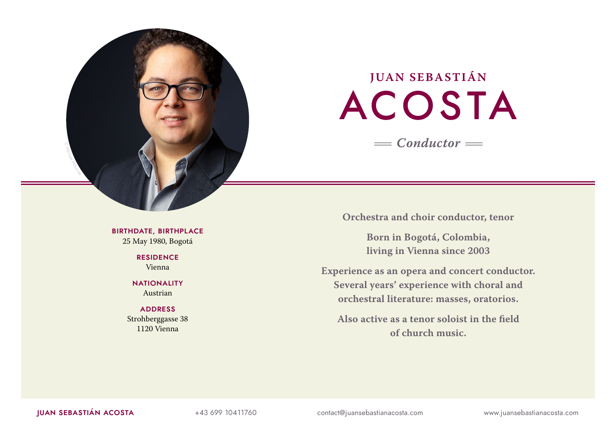

# **JUAN SEBASTIÁN** ACOSTA *<sup>=</sup>Conductor<sup>=</sup>*

**Orchestra and choir conductor, tenor**

**Born in Bogotá, Colombia, living in Vienna since 2003**

**Experience as an opera and concert conductor. Several years' experience with choral and orchestral literature: masses, oratorios.**

**Also active as a tenor soloist in the field of church music.**

**BIRTHDATE, BIRTHPLACE** 25 May 1980, Bogotá

> **RESIDENCE** Vienna

**NATIONALITY** Austrian

# **ADDRESS** Strohberggasse 38 1120 Vienna

**JUAN SEBASTIÁN ACOSTA** +43 699 10411760 contact@juansebastianacosta.com www.juansebastianacosta.com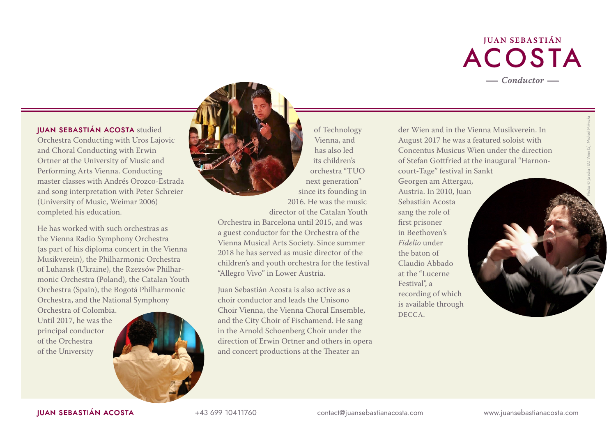

Photos © Jurecka TUO Wien (2), Michael Mrkvicka

**JUAN SEBASTIÁN ACOSTA** studied Orchestra Conducting with Uros Lajovic and Choral Conducting with Erwin Ortner at the University of Music and Performing Arts Vienna. Conducting master classes with Andrés Orozco-Estrada and song interpretation with Peter Schreier (University of Music, Weimar 2006) completed his education.

He has worked with such orchestras as the Vienna Radio Symphony Orchestra (as part of his diploma concert in the Vienna Musikverein), the Philharmonic Orchestra of Luhansk (Ukraine), the Rzezsów Philharmonic Orchestra (Poland), the Catalan Youth Orchestra (Spain), the Bogotá Philharmonic Orchestra, and the National Symphony

Orchestra of Colombia. Until 2017, he was the principal conductor of the Orchestra of the University



of Technology Vienna, and has also led its children's orchestra "TUO next generation" since its founding in 2016. He was the music director of the Catalan Youth

Orchestra in Barcelona until 2015, and was a guest conductor for the Orchestra of the Vienna Musical Arts Society. Since summer 2018 he has served as music director of the children's and youth orchestra for the festival "Allegro Vivo" in Lower Austria.

Juan Sebastián Acosta is also active as a choir conductor and leads the Unisono Choir Vienna, the Vienna Choral Ensemble, and the City Choir of Fischamend. He sang in the Arnold Schoenberg Choir under the direction of Erwin Ortner and others in opera and concert productions at the Theater an

der Wien and in the Vienna Musikverein. In August 2017 he was a featured soloist with Concentus Musicus Wien under the direction of Stefan Gottfried at the inaugural "Harnoncourt-Tage" festival in Sankt Georgen am Attergau, Austria. In 2010, Juan Sebastián Acosta sang the role of first prisoner in Beethoven's *Fidelio* under the baton of Claudio Abbado at the "Lucerne Festival", a recording of which is available through DECCA.

**JUAN SEBASTIÁN ACOSTA** +43 699 10411760 contact@juansebastianacosta.com www.juansebastianacosta.com